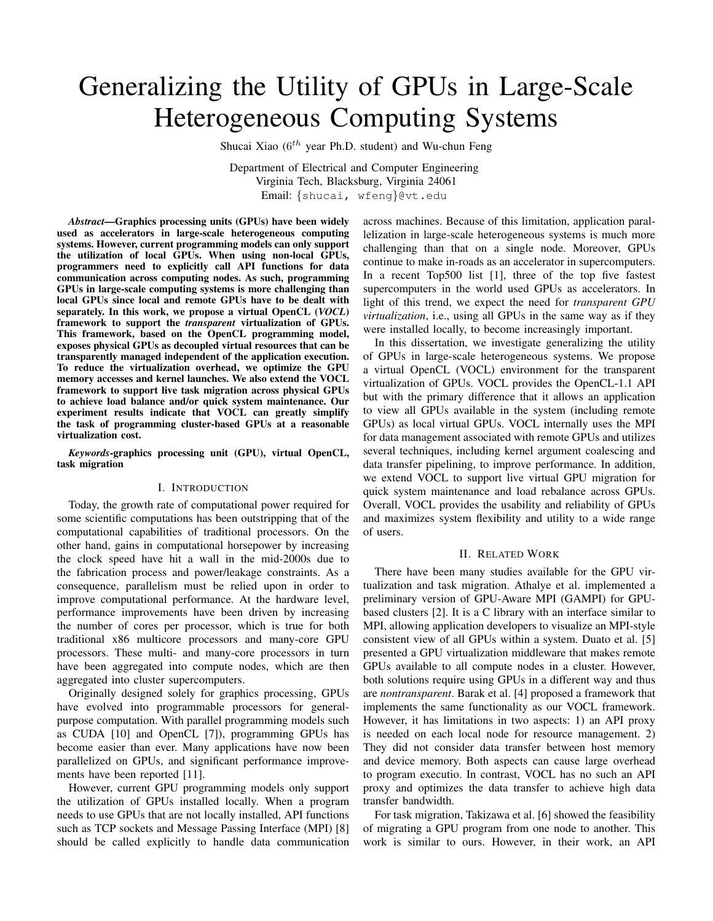# Generalizing the Utility of GPUs in Large-Scale Heterogeneous Computing Systems

Shucai Xiao ( $6^{th}$  year Ph.D. student) and Wu-chun Feng

Department of Electrical and Computer Engineering Virginia Tech, Blacksburg, Virginia 24061 Email: {shucai, wfeng}@vt.edu

*Abstract*—Graphics processing units (GPUs) have been widely used as accelerators in large-scale heterogeneous computing systems. However, current programming models can only support the utilization of local GPUs. When using non-local GPUs, programmers need to explicitly call API functions for data communication across computing nodes. As such, programming GPUs in large-scale computing systems is more challenging than local GPUs since local and remote GPUs have to be dealt with separately. In this work, we propose a virtual OpenCL (*VOCL*) framework to support the *transparent* virtualization of GPUs. This framework, based on the OpenCL programming model, exposes physical GPUs as decoupled virtual resources that can be transparently managed independent of the application execution. To reduce the virtualization overhead, we optimize the GPU memory accesses and kernel launches. We also extend the VOCL framework to support live task migration across physical GPUs to achieve load balance and/or quick system maintenance. Our experiment results indicate that VOCL can greatly simplify the task of programming cluster-based GPUs at a reasonable virtualization cost.

*Keywords*-graphics processing unit (GPU), virtual OpenCL, task migration

# I. INTRODUCTION

Today, the growth rate of computational power required for some scientific computations has been outstripping that of the computational capabilities of traditional processors. On the other hand, gains in computational horsepower by increasing the clock speed have hit a wall in the mid-2000s due to the fabrication process and power/leakage constraints. As a consequence, parallelism must be relied upon in order to improve computational performance. At the hardware level, performance improvements have been driven by increasing the number of cores per processor, which is true for both traditional x86 multicore processors and many-core GPU processors. These multi- and many-core processors in turn have been aggregated into compute nodes, which are then aggregated into cluster supercomputers.

Originally designed solely for graphics processing, GPUs have evolved into programmable processors for generalpurpose computation. With parallel programming models such as CUDA [10] and OpenCL [7]), programming GPUs has become easier than ever. Many applications have now been parallelized on GPUs, and significant performance improvements have been reported [11].

However, current GPU programming models only support the utilization of GPUs installed locally. When a program needs to use GPUs that are not locally installed, API functions such as TCP sockets and Message Passing Interface (MPI) [8] should be called explicitly to handle data communication across machines. Because of this limitation, application parallelization in large-scale heterogeneous systems is much more challenging than that on a single node. Moreover, GPUs continue to make in-roads as an accelerator in supercomputers. In a recent Top500 list [1], three of the top five fastest supercomputers in the world used GPUs as accelerators. In light of this trend, we expect the need for *transparent GPU virtualization*, i.e., using all GPUs in the same way as if they were installed locally, to become increasingly important.

In this dissertation, we investigate generalizing the utility of GPUs in large-scale heterogeneous systems. We propose a virtual OpenCL (VOCL) environment for the transparent virtualization of GPUs. VOCL provides the OpenCL-1.1 API but with the primary difference that it allows an application to view all GPUs available in the system (including remote GPUs) as local virtual GPUs. VOCL internally uses the MPI for data management associated with remote GPUs and utilizes several techniques, including kernel argument coalescing and data transfer pipelining, to improve performance. In addition, we extend VOCL to support live virtual GPU migration for quick system maintenance and load rebalance across GPUs. Overall, VOCL provides the usability and reliability of GPUs and maximizes system flexibility and utility to a wide range of users.

### II. RELATED WORK

There have been many studies available for the GPU virtualization and task migration. Athalye et al. implemented a preliminary version of GPU-Aware MPI (GAMPI) for GPUbased clusters [2]. It is a C library with an interface similar to MPI, allowing application developers to visualize an MPI-style consistent view of all GPUs within a system. Duato et al. [5] presented a GPU virtualization middleware that makes remote GPUs available to all compute nodes in a cluster. However, both solutions require using GPUs in a different way and thus are *nontransparent*. Barak et al. [4] proposed a framework that implements the same functionality as our VOCL framework. However, it has limitations in two aspects: 1) an API proxy is needed on each local node for resource management. 2) They did not consider data transfer between host memory and device memory. Both aspects can cause large overhead to program executio. In contrast, VOCL has no such an API proxy and optimizes the data transfer to achieve high data transfer bandwidth.

For task migration, Takizawa et al. [6] showed the feasibility of migrating a GPU program from one node to another. This work is similar to ours. However, in their work, an API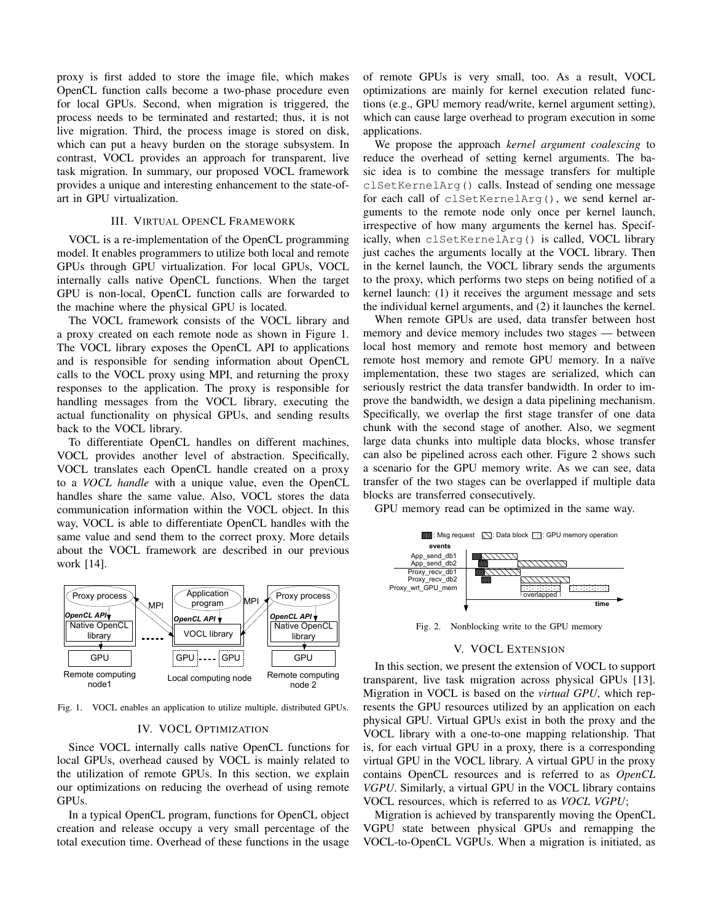proxy is first added to store the image file, which makes OpenCL function calls become a two-phase procedure even for local GPUs. Second, when migration is triggered, the process needs to be terminated and restarted; thus, it is not live migration. Third, the process image is stored on disk, which can put a heavy burden on the storage subsystem. In contrast, VOCL provides an approach for transparent, live task migration. In summary, our proposed VOCL framework provides a unique and interesting enhancement to the state-ofart in GPU virtualization.

# III. VIRTUAL OPENCL FRAMEWORK

VOCL is a re-implementation of the OpenCL programming model. It enables programmers to utilize both local and remote GPUs through GPU virtualization. For local GPUs, VOCL internally calls native OpenCL functions. When the target GPU is non-local, OpenCL function calls are forwarded to the machine where the physical GPU is located.

The VOCL framework consists of the VOCL library and a proxy created on each remote node as shown in Figure 1. The VOCL library exposes the OpenCL API to applications and is responsible for sending information about OpenCL calls to the VOCL proxy using MPI, and returning the proxy responses to the application. The proxy is responsible for handling messages from the VOCL library, executing the actual functionality on physical GPUs, and sending results back to the VOCL library.

To differentiate OpenCL handles on different machines, VOCL provides another level of abstraction. Specifically, VOCL translates each OpenCL handle created on a proxy to a *VOCL handle* with a unique value, even the OpenCL handles share the same value. Also, VOCL stores the data communication information within the VOCL object. In this way, VOCL is able to differentiate OpenCL handles with the same value and send them to the correct proxy. More details about the VOCL framework are described in our previous work [14].



Fig. 1. VOCL enables an application to utilize multiple, distributed GPUs.

# IV. VOCL OPTIMIZATION

Since VOCL internally calls native OpenCL functions for local GPUs, overhead caused by VOCL is mainly related to the utilization of remote GPUs. In this section, we explain our optimizations on reducing the overhead of using remote GPUs.

In a typical OpenCL program, functions for OpenCL object creation and release occupy a very small percentage of the total execution time. Overhead of these functions in the usage of remote GPUs is very small, too. As a result, VOCL optimizations are mainly for kernel execution related functions (e.g., GPU memory read/write, kernel argument setting), which can cause large overhead to program execution in some applications.

We propose the approach *kernel argument coalescing* to reduce the overhead of setting kernel arguments. The basic idea is to combine the message transfers for multiple clSetKernelArg() calls. Instead of sending one message for each call of clSetKernelArg(), we send kernel arguments to the remote node only once per kernel launch, irrespective of how many arguments the kernel has. Specifically, when clSetKernelArg() is called, VOCL library just caches the arguments locally at the VOCL library. Then in the kernel launch, the VOCL library sends the arguments to the proxy, which performs two steps on being notified of a kernel launch: (1) it receives the argument message and sets the individual kernel arguments, and (2) it launches the kernel.

When remote GPUs are used, data transfer between host memory and device memory includes two stages — between local host memory and remote host memory and between remote host memory and remote GPU memory. In a naïve implementation, these two stages are serialized, which can seriously restrict the data transfer bandwidth. In order to improve the bandwidth, we design a data pipelining mechanism. Specifically, we overlap the first stage transfer of one data chunk with the second stage of another. Also, we segment large data chunks into multiple data blocks, whose transfer can also be pipelined across each other. Figure 2 shows such a scenario for the GPU memory write. As we can see, data transfer of the two stages can be overlapped if multiple data blocks are transferred consecutively.

GPU memory read can be optimized in the same way.



Fig. 2. Nonblocking write to the GPU memory

#### V. VOCL EXTENSION

In this section, we present the extension of VOCL to support transparent, live task migration across physical GPUs [13]. Migration in VOCL is based on the *virtual GPU*, which represents the GPU resources utilized by an application on each physical GPU. Virtual GPUs exist in both the proxy and the VOCL library with a one-to-one mapping relationship. That is, for each virtual GPU in a proxy, there is a corresponding virtual GPU in the VOCL library. A virtual GPU in the proxy contains OpenCL resources and is referred to as *OpenCL VGPU*. Similarly, a virtual GPU in the VOCL library contains VOCL resources, which is referred to as *VOCL VGPU*;

Migration is achieved by transparently moving the OpenCL VGPU state between physical GPUs and remapping the VOCL-to-OpenCL VGPUs. When a migration is initiated, as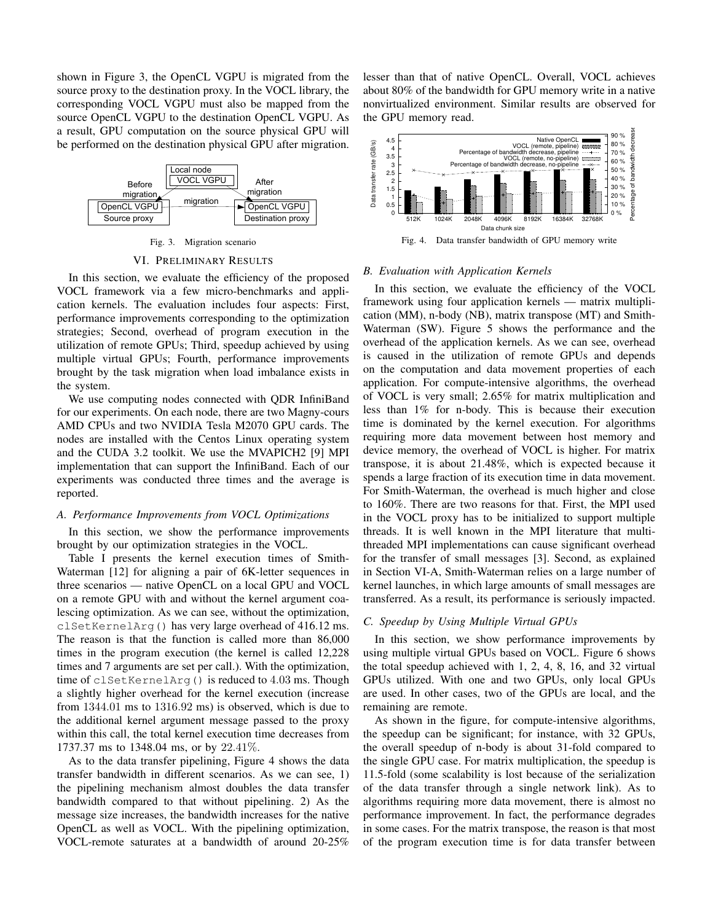shown in Figure 3, the OpenCL VGPU is migrated from the source proxy to the destination proxy. In the VOCL library, the corresponding VOCL VGPU must also be mapped from the source OpenCL VGPU to the destination OpenCL VGPU. As a result, GPU computation on the source physical GPU will be performed on the destination physical GPU after migration.



#### Fig. 3. Migration scenario

# VI. PRELIMINARY RESULTS

In this section, we evaluate the efficiency of the proposed VOCL framework via a few micro-benchmarks and application kernels. The evaluation includes four aspects: First, performance improvements corresponding to the optimization strategies; Second, overhead of program execution in the utilization of remote GPUs; Third, speedup achieved by using multiple virtual GPUs; Fourth, performance improvements brought by the task migration when load imbalance exists in the system.

We use computing nodes connected with QDR InfiniBand for our experiments. On each node, there are two Magny-cours AMD CPUs and two NVIDIA Tesla M2070 GPU cards. The nodes are installed with the Centos Linux operating system and the CUDA 3.2 toolkit. We use the MVAPICH2 [9] MPI implementation that can support the InfiniBand. Each of our experiments was conducted three times and the average is reported.

# *A. Performance Improvements from VOCL Optimizations*

In this section, we show the performance improvements brought by our optimization strategies in the VOCL.

Table I presents the kernel execution times of Smith-Waterman [12] for aligning a pair of 6K-letter sequences in three scenarios — native OpenCL on a local GPU and VOCL on a remote GPU with and without the kernel argument coalescing optimization. As we can see, without the optimization, clSetKernelArg() has very large overhead of 416.12 ms. The reason is that the function is called more than 86,000 times in the program execution (the kernel is called 12,228 times and 7 arguments are set per call.). With the optimization, time of clSetKernelArg() is reduced to 4.03 ms. Though a slightly higher overhead for the kernel execution (increase from 1344.01 ms to 1316.92 ms) is observed, which is due to the additional kernel argument message passed to the proxy within this call, the total kernel execution time decreases from 1737.37 ms to 1348.04 ms, or by 22.41%.

As to the data transfer pipelining, Figure 4 shows the data transfer bandwidth in different scenarios. As we can see, 1) the pipelining mechanism almost doubles the data transfer bandwidth compared to that without pipelining. 2) As the message size increases, the bandwidth increases for the native OpenCL as well as VOCL. With the pipelining optimization, VOCL-remote saturates at a bandwidth of around 20-25% lesser than that of native OpenCL. Overall, VOCL achieves about 80% of the bandwidth for GPU memory write in a native nonvirtualized environment. Similar results are observed for the GPU memory read.



#### *B. Evaluation with Application Kernels*

In this section, we evaluate the efficiency of the VOCL framework using four application kernels — matrix multiplication (MM), n-body (NB), matrix transpose (MT) and Smith-Waterman (SW). Figure 5 shows the performance and the overhead of the application kernels. As we can see, overhead is caused in the utilization of remote GPUs and depends on the computation and data movement properties of each application. For compute-intensive algorithms, the overhead of VOCL is very small; 2.65% for matrix multiplication and less than 1% for n-body. This is because their execution time is dominated by the kernel execution. For algorithms requiring more data movement between host memory and device memory, the overhead of VOCL is higher. For matrix transpose, it is about 21.48%, which is expected because it spends a large fraction of its execution time in data movement. For Smith-Waterman, the overhead is much higher and close to 160%. There are two reasons for that. First, the MPI used in the VOCL proxy has to be initialized to support multiple threads. It is well known in the MPI literature that multithreaded MPI implementations can cause significant overhead for the transfer of small messages [3]. Second, as explained in Section VI-A, Smith-Waterman relies on a large number of kernel launches, in which large amounts of small messages are transferred. As a result, its performance is seriously impacted.

# *C. Speedup by Using Multiple Virtual GPUs*

In this section, we show performance improvements by using multiple virtual GPUs based on VOCL. Figure 6 shows the total speedup achieved with 1, 2, 4, 8, 16, and 32 virtual GPUs utilized. With one and two GPUs, only local GPUs are used. In other cases, two of the GPUs are local, and the remaining are remote.

As shown in the figure, for compute-intensive algorithms, the speedup can be significant; for instance, with 32 GPUs, the overall speedup of n-body is about 31-fold compared to the single GPU case. For matrix multiplication, the speedup is 11.5-fold (some scalability is lost because of the serialization of the data transfer through a single network link). As to algorithms requiring more data movement, there is almost no performance improvement. In fact, the performance degrades in some cases. For the matrix transpose, the reason is that most of the program execution time is for data transfer between